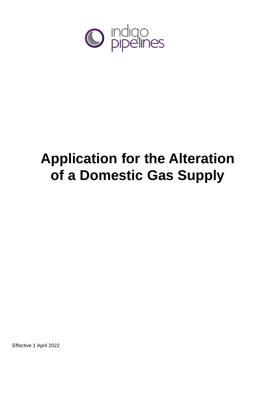

# **Application for the Alteration of a Domestic Gas Supply**

Effective 1 April 2022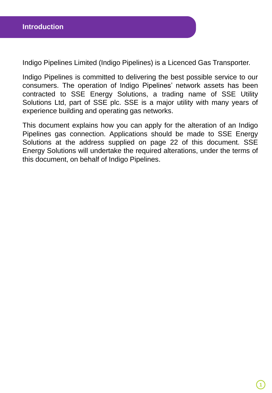Indigo Pipelines Limited (Indigo Pipelines) is a Licenced Gas Transporter.

Indigo Pipelines is committed to delivering the best possible service to our consumers. The operation of Indigo Pipelines' network assets has been contracted to SSE Energy Solutions, a trading name of SSE Utility Solutions Ltd, part of SSE plc. SSE is a major utility with many years of experience building and operating gas networks.

This document explains how you can apply for the alteration of an Indigo Pipelines gas connection. Applications should be made to SSE Energy Solutions at the address supplied on page 22 of this document. SSE Energy Solutions will undertake the required alterations, under the terms of this document, on behalf of Indigo Pipelines.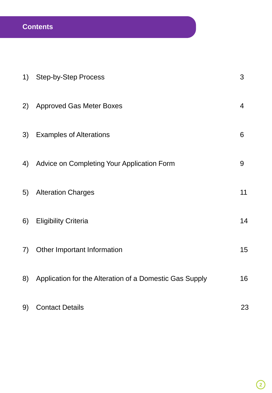## **Contents**

| 1) | <b>Step-by-Step Process</b>                             | 3              |
|----|---------------------------------------------------------|----------------|
| 2) | <b>Approved Gas Meter Boxes</b>                         | $\overline{4}$ |
| 3) | <b>Examples of Alterations</b>                          | 6              |
| 4) | Advice on Completing Your Application Form              | $9\,$          |
| 5) | <b>Alteration Charges</b>                               | 11             |
| 6) | <b>Eligibility Criteria</b>                             | 14             |
| 7) | Other Important Information                             | 15             |
| 8) | Application for the Alteration of a Domestic Gas Supply | 16             |
| 9) | <b>Contact Details</b>                                  | 23             |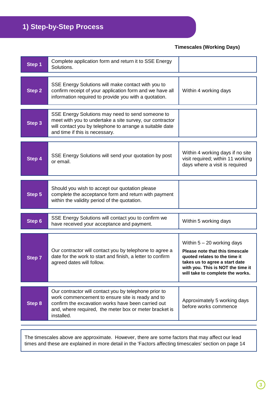## **1) Step-by-Step Process**

**Timescales (Working Days)**

| Step 1 | Complete application form and return it to SSE Energy<br>Solutions.                                                                                                                                                                     |                                                                                                                                                                                                             |
|--------|-----------------------------------------------------------------------------------------------------------------------------------------------------------------------------------------------------------------------------------------|-------------------------------------------------------------------------------------------------------------------------------------------------------------------------------------------------------------|
| Step 2 | SSE Energy Solutions will make contact with you to<br>confirm receipt of your application form and we have all<br>information required to provide you with a quotation.                                                                 | Within 4 working days                                                                                                                                                                                       |
| Step 3 | SSE Energy Solutions may need to send someone to<br>meet with you to undertake a site survey, our contractor<br>will contact you by telephone to arrange a suitable date<br>and time if this is necessary.                              |                                                                                                                                                                                                             |
| Step 4 | SSE Energy Solutions will send your quotation by post<br>or email.                                                                                                                                                                      | Within 4 working days if no site<br>visit required; within 11 working<br>days where a visit is required                                                                                                     |
| Step 5 | Should you wish to accept our quotation please<br>complete the acceptance form and return with payment<br>within the validity period of the quotation.                                                                                  |                                                                                                                                                                                                             |
| Step 6 | SSE Energy Solutions will contact you to confirm we<br>have received your acceptance and payment.                                                                                                                                       | Within 5 working days                                                                                                                                                                                       |
| Step 7 | Our contractor will contact you by telephone to agree a<br>date for the work to start and finish, a letter to confirm<br>agreed dates will follow.                                                                                      | Within $5 - 20$ working days<br>Please note that this timescale<br>quoted relates to the time it<br>takes us to agree a start date<br>with you. This is NOT the time it<br>will take to complete the works. |
| Step 8 | Our contractor will contact you by telephone prior to<br>work commencement to ensure site is ready and to<br>confirm the excavation works have been carried out<br>and, where required, the meter box or meter bracket is<br>installed. | Approximately 5 working days<br>before works commence                                                                                                                                                       |

The timescales above are approximate. However, there are some factors that may affect our lead times and these are explained in more detail in the 'Factors affecting timescales' section on page 14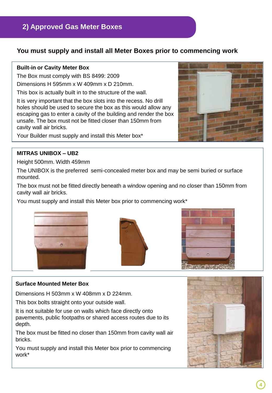### **2) Approved Gas Meter Boxes**

### **You must supply and install all Meter Boxes prior to commencing work**

#### **Built-in or Cavity Meter Box**

The Box must comply with BS 8499: 2009

Dimensions H 595mm x W 409mm x D 210mm.

This box is actually built in to the structure of the wall.

It is very important that the box slots into the recess. No drill holes should be used to secure the box as this would allow any escaping gas to enter a cavity of the building and render the box unsafe. The box must not be fitted closer than 150mm from cavity wall air bricks.

Your Builder must supply and install this Meter box\*

#### **MITRAS UNIBOX – UB2**

Height 500mm. Width 459mm

The UNIBOX is the preferred semi-concealed meter box and may be semi buried or surface mounted.

The box must not be fitted directly beneath a window opening and no closer than 150mm from cavity wall air bricks.

You must supply and install this Meter box prior to commencing work\*







#### **Surface Mounted Meter Box**

Dimensions H 503mm x W 408mm x D 224mm.

This box bolts straight onto your outside wall.

It is not suitable for use on walls which face directly onto pavements, public footpaths or shared access routes due to its depth.

The box must be fitted no closer than 150mm from cavity wall air bricks.

You must supply and install this Meter box prior to commencing work\*

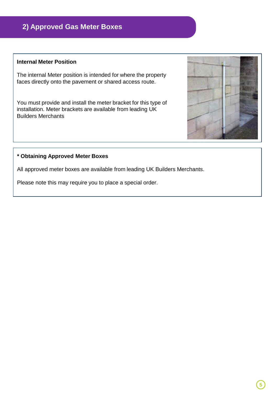### **2) Approved Gas Meter Boxes**

#### **Internal Meter Position**

The internal Meter position is intended for where the property faces directly onto the pavement or shared access route.

You must provide and install the meter bracket for this type of installation. Meter brackets are available from leading UK Builders Merchants

#### **\* Obtaining Approved Meter Boxes**

All approved meter boxes are available from leading UK Builders Merchants.

Please note this may require you to place a special order.

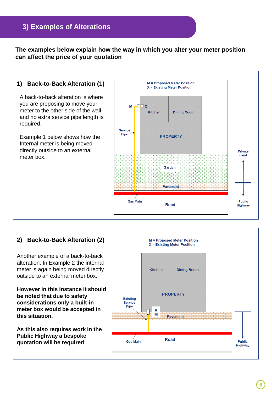### **3) Examples of Alterations**

**The examples below explain how the way in which you alter your meter position can affect the price of your quotation**

#### **1) Back-to-Back Alteration (1)**

A back-to-back alteration is where you are proposing to move your meter to the other side of the wall and no extra service pipe length is required.

Example 1 below shows how the Internal meter is being moved directly outside to an external meter box.



#### **2) Back-to-Back Alteration (2)**

Another example of a back-to-back alteration. In Example 2 the internal meter is again being moved directly outside to an external meter box.

**However in this instance it should be noted that due to safety considerations only a built-in meter box would be accepted in this situation.**

**As this also requires work in the Public Highway a bespoke quotation will be required**

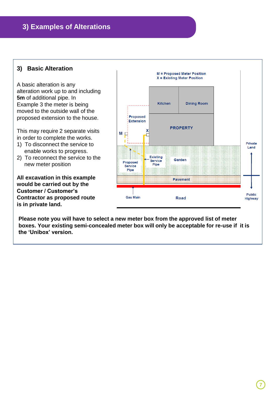### **3) Examples of Alterations**

#### **3) Basic Alteration**

A basic alteration is any alteration work up to and including **5m** of additional pipe. In Example 3 the meter is being moved to the outside wall of the proposed extension to the house.

This may require 2 separate visits in order to complete the works.

- 1) To disconnect the service to enable works to progress.
- 2) To reconnect the service to the new meter position

**All excavation in this example would be carried out by the Customer / Customer's Contractor as proposed route is in private land.**



**Please note you will have to select a new meter box from the approved list of meter boxes. Your existing semi-concealed meter box will only be acceptable for re-use if it is the 'Unibox' version.**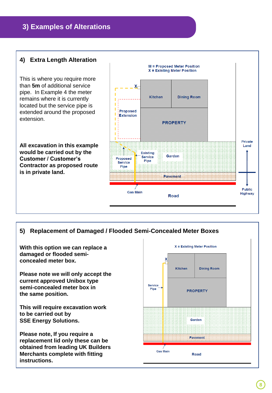### **3) Examples of Alterations**

#### **4) Extra Length Alteration**

This is where you require more than **5m** of additional service pipe. In Example 4 the meter remains where it is currently located but the service pipe is extended around the proposed extension.

**All excavation in this example would be carried out by the Customer / Customer's Contractor as proposed route is in private land.**



### **5) Replacement of Damaged / Flooded Semi-Concealed Meter Boxes**

**With this option we can replace a damaged or flooded semiconcealed meter box.**

**Please note we will only accept the current approved Unibox type semi-concealed meter box in the same position.**

**This will require excavation work to be carried out by SSE Energy Solutions.**

**Please note, If you require a replacement lid only these can be obtained from leading UK Builders Merchants complete with fitting instructions.**

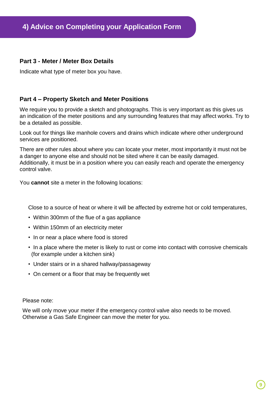#### **Part 3 - Meter / Meter Box Details**

Indicate what type of meter box you have.

#### **Part 4 – Property Sketch and Meter Positions**

We require you to provide a sketch and photographs. This is very important as this gives us an indication of the meter positions and any surrounding features that may affect works. Try to be a detailed as possible.

Look out for things like manhole covers and drains which indicate where other underground services are positioned.

There are other rules about where you can locate your meter, most importantly it must not be a danger to anyone else and should not be sited where it can be easily damaged. Additionally, it must be in a position where you can easily reach and operate the emergency control valve.

You **cannot** site a meter in the following locations:

Close to a source of heat or where it will be affected by extreme hot or cold temperatures,

- Within 300mm of the flue of a gas appliance
- Within 150mm of an electricity meter
- In or near a place where food is stored
- In a place where the meter is likely to rust or come into contact with corrosive chemicals (for example under a kitchen sink)
- Under stairs or in a shared hallway/passageway
- On cement or a floor that may be frequently wet

Please note:

We will only move your meter if the emergency control valve also needs to be moved. Otherwise a Gas Safe Engineer can move the meter for you.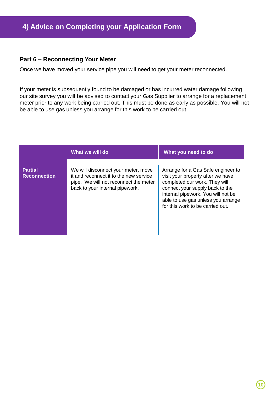#### **Part 6 – Reconnecting Your Meter**

Once we have moved your service pipe you will need to get your meter reconnected.

If your meter is subsequently found to be damaged or has incurred water damage following our site survey you will be advised to contact your Gas Supplier to arrange for a replacement meter prior to any work being carried out. This must be done as early as possible. You will not be able to use gas unless you arrange for this work to be carried out.

|                                       | What we will do                                                                                                                                           | What you need to do                                                                                                                                                                                                                                         |
|---------------------------------------|-----------------------------------------------------------------------------------------------------------------------------------------------------------|-------------------------------------------------------------------------------------------------------------------------------------------------------------------------------------------------------------------------------------------------------------|
| <b>Partial</b><br><b>Reconnection</b> | We will disconnect your meter, move<br>it and reconnect it to the new service<br>pipe. We will not reconnect the meter<br>back to your internal pipework. | Arrange for a Gas Safe engineer to<br>visit your property after we have<br>completed our work. They will<br>connect your supply back to the<br>internal pipework. You will not be<br>able to use gas unless you arrange<br>for this work to be carried out. |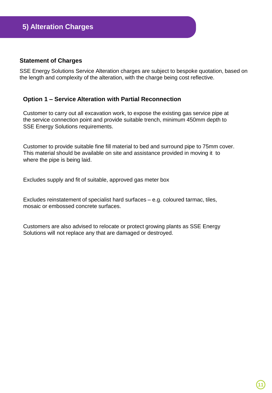#### **Statement of Charges**

SSE Energy Solutions Service Alteration charges are subject to bespoke quotation, based on the length and complexity of the alteration, with the charge being cost reflective.

#### **Option 1 – Service Alteration with Partial Reconnection**

Customer to carry out all excavation work, to expose the existing gas service pipe at the service connection point and provide suitable trench, minimum 450mm depth to SSE Energy Solutions requirements.

Customer to provide suitable fine fill material to bed and surround pipe to 75mm cover. This material should be available on site and assistance provided in moving it to where the pipe is being laid.

Excludes supply and fit of suitable, approved gas meter box

Excludes reinstatement of specialist hard surfaces – e.g. coloured tarmac, tiles, mosaic or embossed concrete surfaces.

Customers are also advised to relocate or protect growing plants as SSE Energy Solutions will not replace any that are damaged or destroyed.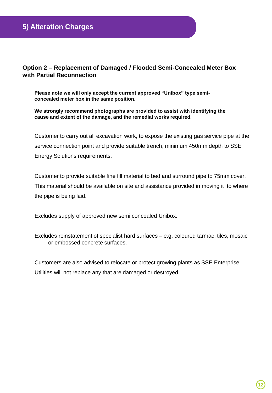#### **Option 2 – Replacement of Damaged / Flooded Semi-Concealed Meter Box with Partial Reconnection**

**Please note we will only accept the current approved "Unibox" type semiconcealed meter box in the same position.**

**We strongly recommend photographs are provided to assist with identifying the cause and extent of the damage, and the remedial works required.**

Customer to carry out all excavation work, to expose the existing gas service pipe at the service connection point and provide suitable trench, minimum 450mm depth to SSE Energy Solutions requirements.

Customer to provide suitable fine fill material to bed and surround pipe to 75mm cover. This material should be available on site and assistance provided in moving it to where the pipe is being laid.

Excludes supply of approved new semi concealed Unibox.

Excludes reinstatement of specialist hard surfaces – e.g. coloured tarmac, tiles, mosaic or embossed concrete surfaces.

Customers are also advised to relocate or protect growing plants as SSE Enterprise Utilities will not replace any that are damaged or destroyed.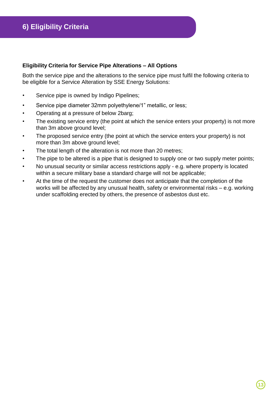#### **Eligibility Criteria for Service Pipe Alterations – All Options**

Both the service pipe and the alterations to the service pipe must fulfil the following criteria to be eligible for a Service Alteration by SSE Energy Solutions:

- Service pipe is owned by Indigo Pipelines;
- Service pipe diameter 32mm polyethylene/1" metallic, or less;
- Operating at a pressure of below 2barg;
- The existing service entry (the point at which the service enters your property) is not more than 3m above ground level;
- The proposed service entry (the point at which the service enters your property) is not more than 3m above ground level;
- The total length of the alteration is not more than 20 metres;
- The pipe to be altered is a pipe that is designed to supply one or two supply meter points;
- No unusual security or similar access restrictions apply e.g. where property is located within a secure military base a standard charge will not be applicable;
- At the time of the request the customer does not anticipate that the completion of the works will be affected by any unusual health, safety or environmental risks – e.g. working under scaffolding erected by others, the presence of asbestos dust etc.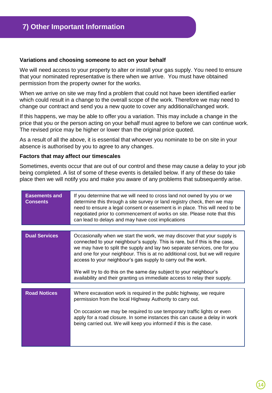#### **Variations and choosing someone to act on your behalf**

We will need access to your property to alter or install your gas supply. You need to ensure that your nominated representative is there when we arrive. You must have obtained permission from the property owner for the works.

When we arrive on site we may find a problem that could not have been identified earlier which could result in a change to the overall scope of the work. Therefore we may need to change our contract and send you a new quote to cover any additional/changed work.

If this happens, we may be able to offer you a variation. This may include a change in the price that you or the person acting on your behalf must agree to before we can continue work. The revised price may be higher or lower than the original price quoted.

As a result of all the above, it is essential that whoever you nominate to be on site in your absence is authorised by you to agree to any changes.

#### **Factors that may affect our timescales**

Sometimes, events occur that are out of our control and these may cause a delay to your job being completed. A list of some of these events is detailed below. If any of these do take place then we will notify you and make you aware of any problems that subsequently arise.

| If you determine that we will need to cross land not owned by you or we<br><b>Easements and</b><br><b>Consents</b><br>determine this through a site survey or land registry check, then we may<br>need to ensure a legal consent or easement is in place. This will need to be<br>negotiated prior to commencement of works on site. Please note that this<br>can lead to delays and may have cost implications |                                                                                                                                                                                                                                                                                                                                                                                                                                                                                                                                              |
|-----------------------------------------------------------------------------------------------------------------------------------------------------------------------------------------------------------------------------------------------------------------------------------------------------------------------------------------------------------------------------------------------------------------|----------------------------------------------------------------------------------------------------------------------------------------------------------------------------------------------------------------------------------------------------------------------------------------------------------------------------------------------------------------------------------------------------------------------------------------------------------------------------------------------------------------------------------------------|
|                                                                                                                                                                                                                                                                                                                                                                                                                 |                                                                                                                                                                                                                                                                                                                                                                                                                                                                                                                                              |
| <b>Dual Services</b>                                                                                                                                                                                                                                                                                                                                                                                            | Occasionally when we start the work, we may discover that your supply is<br>connected to your neighbour's supply. This is rare, but if this is the case,<br>we may have to split the supply and lay two separate services, one for you<br>and one for your neighbour. This is at no additional cost, but we will require<br>access to your neighbour's gas supply to carry out the work.<br>We will try to do this on the same day subject to your neighbour's<br>availability and their granting us immediate access to relay their supply. |
| <b>Road Notices</b>                                                                                                                                                                                                                                                                                                                                                                                             | Where excavation work is required in the public highway, we require<br>permission from the local Highway Authority to carry out.<br>On occasion we may be required to use temporary traffic lights or even<br>apply for a road closure. In some instances this can cause a delay in work<br>being carried out. We will keep you informed if this is the case.                                                                                                                                                                                |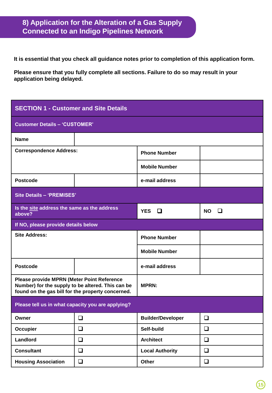### **8) Application for the Alteration of a Gas Supply Connected to an Indigo Pipelines Network**

**It is essential that you check all guidance notes prior to completion of this application form.**

**Please ensure that you fully complete all sections. Failure to do so may result in your application being delayed.**

| <b>SECTION 1 - Customer and Site Details</b>                                                                                                                |        |                          |                |
|-------------------------------------------------------------------------------------------------------------------------------------------------------------|--------|--------------------------|----------------|
| <b>Customer Details - 'CUSTOMER'</b>                                                                                                                        |        |                          |                |
| <b>Name</b>                                                                                                                                                 |        |                          |                |
| <b>Correspondence Address:</b>                                                                                                                              |        | <b>Phone Number</b>      |                |
|                                                                                                                                                             |        | <b>Mobile Number</b>     |                |
| <b>Postcode</b>                                                                                                                                             |        | e-mail address           |                |
| <b>Site Details - 'PREMISES'</b>                                                                                                                            |        |                          |                |
| Is the site address the same as the address<br>above?                                                                                                       |        | <b>YES</b><br>□          | <b>NO</b><br>◻ |
| If NO, please provide details below                                                                                                                         |        |                          |                |
| <b>Site Address:</b>                                                                                                                                        |        | <b>Phone Number</b>      |                |
|                                                                                                                                                             |        | <b>Mobile Number</b>     |                |
| <b>Postcode</b>                                                                                                                                             |        | e-mail address           |                |
| <b>Please provide MPRN (Meter Point Reference</b><br>Number) for the supply to be altered. This can be<br>found on the gas bill for the property concerned. |        | <b>MPRN:</b>             |                |
| Please tell us in what capacity you are applying?                                                                                                           |        |                          |                |
| Owner                                                                                                                                                       | ❏      | <b>Builder/Developer</b> | ❏              |
| <b>Occupier</b>                                                                                                                                             | $\Box$ | Self-build               | $\Box$         |
| Landlord                                                                                                                                                    | $\Box$ | <b>Architect</b>         | $\Box$         |
| <b>Consultant</b>                                                                                                                                           | $\Box$ | <b>Local Authority</b>   | $\Box$         |
| <b>Housing Association</b>                                                                                                                                  | $\Box$ | Other                    | $\Box$         |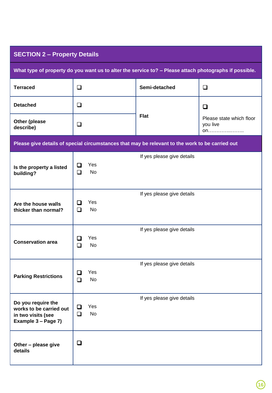| <b>SECTION 2 - Property Details</b>                                                                    |                                      |                                                                                                 |                                            |
|--------------------------------------------------------------------------------------------------------|--------------------------------------|-------------------------------------------------------------------------------------------------|--------------------------------------------|
| What type of property do you want us to alter the service to? - Please attach photographs if possible. |                                      |                                                                                                 |                                            |
| <b>Terraced</b>                                                                                        | $\Box$                               | Semi-detached                                                                                   | $\Box$                                     |
| <b>Detached</b>                                                                                        | $\Box$                               | <b>Flat</b>                                                                                     | ❏                                          |
| Other (please<br>describe)                                                                             | $\Box$                               |                                                                                                 | Please state which floor<br>you live<br>on |
|                                                                                                        |                                      | Please give details of special circumstances that may be relevant to the work to be carried out |                                            |
| Is the property a listed<br>building?                                                                  | Yes<br>◻<br>No<br>$\Box$             | If yes please give details                                                                      |                                            |
| Are the house walls<br>thicker than normal?                                                            | Yes<br>ப<br><b>No</b><br>$\Box$      | If yes please give details                                                                      |                                            |
| <b>Conservation area</b>                                                                               | Yes<br>$\Box$<br><b>No</b><br>$\Box$ | If yes please give details                                                                      |                                            |
| <b>Parking Restrictions</b>                                                                            | Yes<br>$\Box$<br><b>No</b><br>$\Box$ | If yes please give details                                                                      |                                            |
| Do you require the<br>works to be carried out<br>in two visits (see<br>Example 3 - Page 7)             | Yes<br>Q<br>No<br>$\Box$             | If yes please give details                                                                      |                                            |
| Other - please give<br>details                                                                         | $\Box$                               |                                                                                                 |                                            |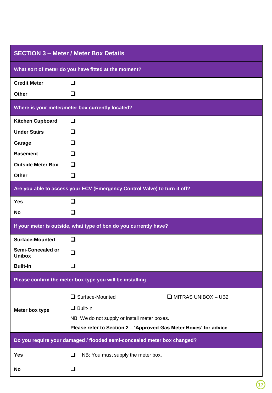| <b>SECTION 3 - Meter / Meter Box Details</b>                            |                                                                           |  |
|-------------------------------------------------------------------------|---------------------------------------------------------------------------|--|
| What sort of meter do you have fitted at the moment?                    |                                                                           |  |
| <b>Credit Meter</b>                                                     | $\Box$                                                                    |  |
| <b>Other</b>                                                            | ❏                                                                         |  |
|                                                                         | Where is your meter/meter box currently located?                          |  |
| <b>Kitchen Cupboard</b>                                                 | $\Box$                                                                    |  |
| <b>Under Stairs</b>                                                     | □                                                                         |  |
| Garage                                                                  | □                                                                         |  |
| <b>Basement</b>                                                         | □                                                                         |  |
| <b>Outside Meter Box</b>                                                | □                                                                         |  |
| <b>Other</b>                                                            | ❏                                                                         |  |
|                                                                         | Are you able to access your ECV (Emergency Control Valve) to turn it off? |  |
| <b>Yes</b>                                                              | ❏                                                                         |  |
| No                                                                      | ❏                                                                         |  |
|                                                                         | If your meter is outside, what type of box do you currently have?         |  |
| <b>Surface-Mounted</b>                                                  | □                                                                         |  |
| <b>Semi-Concealed or</b><br><b>Unibox</b>                               | $\Box$                                                                    |  |
| <b>Built-in</b>                                                         | ப                                                                         |  |
|                                                                         | Please confirm the meter box type you will be installing                  |  |
|                                                                         | $\Box$ Surface-Mounted<br>$\Box$ MITRAS UNIBOX - UB2                      |  |
| Meter box type                                                          | $\Box$ Built-in                                                           |  |
|                                                                         | NB: We do not supply or install meter boxes.                              |  |
|                                                                         | Please refer to Section 2 - 'Approved Gas Meter Boxes' for advice         |  |
| Do you require your damaged / flooded semi-concealed meter box changed? |                                                                           |  |
| <b>Yes</b>                                                              | NB: You must supply the meter box.<br>❏                                   |  |
| No                                                                      | ❏                                                                         |  |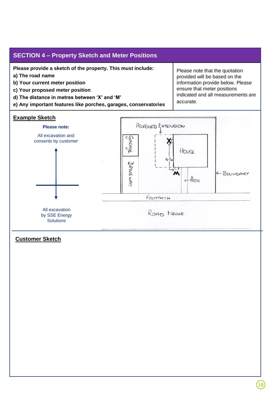#### **SECTION 4 – Property Sketch and Meter Positions**

**Please provide a sketch of the property. This must include:**

- **a) The road name**
- **b) Your current meter position**
- **c) Your proposed meter position**
- **d) The distance in metres between 'X' and 'M'**
- **e) Any important features like porches, garages, conservatories**

#### **Example Sketch**

Please note that the quotation provided will be based on the information provide below. Please ensure that meter positions indicated and all measurements are accurate.

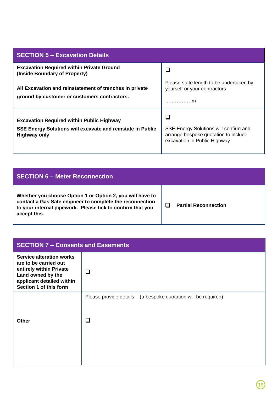| <b>SECTION 5 - Excavation Details</b>                                                                                                 |                                                                                                               |
|---------------------------------------------------------------------------------------------------------------------------------------|---------------------------------------------------------------------------------------------------------------|
| <b>Excavation Required within Private Ground</b><br>(Inside Boundary of Property)                                                     |                                                                                                               |
| All Excavation and reinstatement of trenches in private<br>ground by customer or customers contractors.                               | Please state length to be undertaken by<br>yourself or your contractors<br>. <b>. m</b>                       |
| <b>Excavation Required within Public Highway</b><br>SSE Energy Solutions will excavate and reinstate in Public<br><b>Highway only</b> | SSE Energy Solutions will confirm and<br>arrange bespoke quotation to include<br>excavation in Public Highway |

| <b>SECTION 6 – Meter Reconnection</b>                                                                                                                                                               |                             |
|-----------------------------------------------------------------------------------------------------------------------------------------------------------------------------------------------------|-----------------------------|
| Whether you choose Option 1 or Option 2, you will have to<br>contact a Gas Safe engineer to complete the reconnection<br>to your internal pipework. Please tick to confirm that you<br>accept this. | <b>Partial Reconnection</b> |

| <b>SECTION 7 - Consents and Easements</b>                                                                                                                       |   |  |
|-----------------------------------------------------------------------------------------------------------------------------------------------------------------|---|--|
| <b>Service alteration works</b><br>are to be carried out<br>entirely within Private<br>Land owned by the<br>applicant detailed within<br>Section 1 of this form | n |  |
| Please provide details - (a bespoke quotation will be required)<br>❏<br>Other                                                                                   |   |  |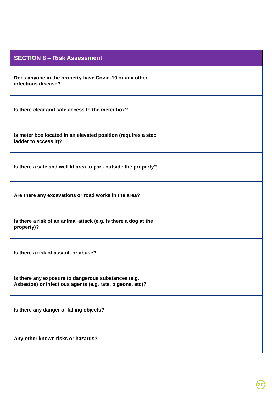| <b>SECTION 8 - Risk Assessment</b>                                                                               |  |
|------------------------------------------------------------------------------------------------------------------|--|
| Does anyone in the property have Covid-19 or any other<br>infectious disease?                                    |  |
| Is there clear and safe access to the meter box?                                                                 |  |
| Is meter box located in an elevated position (requires a step<br>ladder to access it)?                           |  |
| Is there a safe and well lit area to park outside the property?                                                  |  |
| Are there any excavations or road works in the area?                                                             |  |
| Is there a risk of an animal attack (e.g. is there a dog at the<br>property)?                                    |  |
| Is there a risk of assault or abuse?                                                                             |  |
| Is there any exposure to dangerous substances (e.g.<br>Asbestos) or infectious agents (e.g. rats, pigeons, etc)? |  |
| Is there any danger of falling objects?                                                                          |  |
| Any other known risks or hazards?                                                                                |  |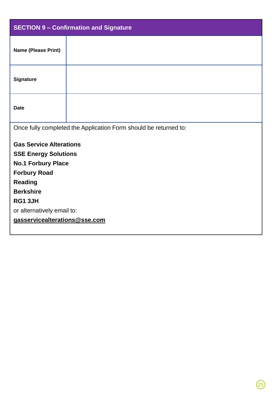| <b>SECTION 9 - Confirmation and Signature</b> |                                                                  |  |
|-----------------------------------------------|------------------------------------------------------------------|--|
| Name (Please Print)                           |                                                                  |  |
| Signature                                     |                                                                  |  |
| <b>Date</b>                                   |                                                                  |  |
|                                               | Once fully completed the Application Form should be returned to: |  |
| <b>Gas Service Alterations</b>                |                                                                  |  |
| <b>SSE Energy Solutions</b>                   |                                                                  |  |
| <b>No.1 Forbury Place</b>                     |                                                                  |  |
| <b>Forbury Road</b>                           |                                                                  |  |
| <b>Reading</b>                                |                                                                  |  |
| <b>Berkshire</b>                              |                                                                  |  |
| RG1 3JH                                       |                                                                  |  |
| or alternatively email to:                    |                                                                  |  |
| gasservicealterations@sse.com                 |                                                                  |  |
|                                               |                                                                  |  |